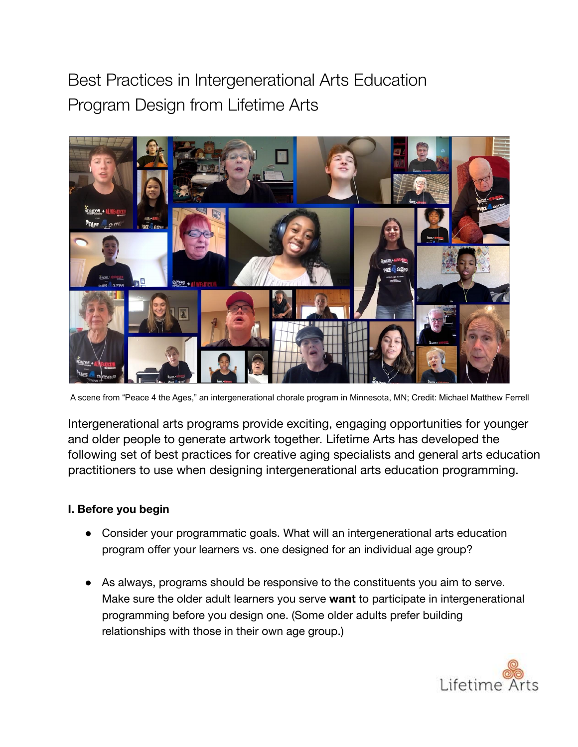# Best Practices in Intergenerational Arts Education Program Design from Lifetime Arts



A scene from "Peace 4 the Ages," an intergenerational chorale program in Minnesota, MN; Credit: Michael Matthew Ferrell

Intergenerational arts programs provide exciting, engaging opportunities for younger and older people to generate artwork together. Lifetime Arts has developed the following set of best practices for creative aging specialists and general arts education practitioners to use when designing intergenerational arts education programming.

### **I. Before you begin**

- Consider your programmatic goals. What will an intergenerational arts education program offer your learners vs. one designed for an individual age group?
- As always, programs should be responsive to the constituents you aim to serve. Make sure the older adult learners you serve **want** to participate in intergenerational programming before you design one. (Some older adults prefer building relationships with those in their own age group.)

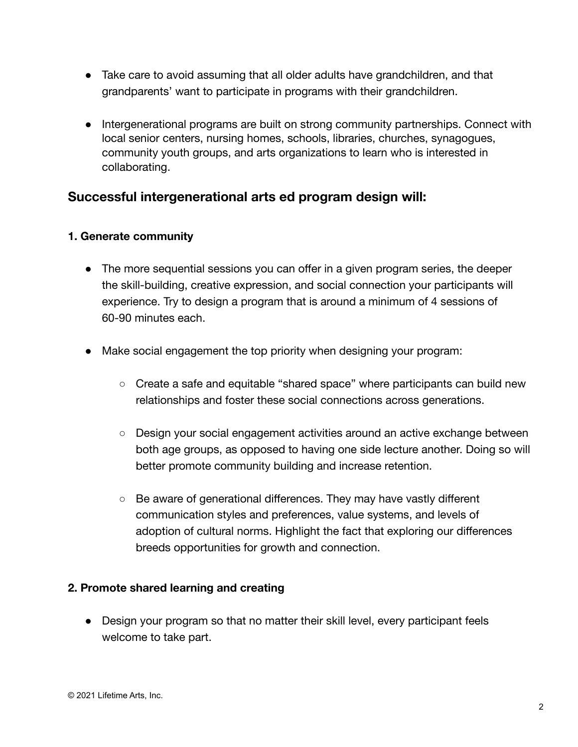- Take care to avoid assuming that all older adults have grandchildren, and that grandparents' want to participate in programs with their grandchildren.
- Intergenerational programs are built on strong community partnerships. Connect with local senior centers, nursing homes, schools, libraries, churches, synagogues, community youth groups, and arts organizations to learn who is interested in collaborating.

# **Successful intergenerational arts ed program design will:**

#### **1. Generate community**

- The more sequential sessions you can offer in a given program series, the deeper the skill-building, creative expression, and social connection your participants will experience. Try to design a program that is around a minimum of 4 sessions of 60-90 minutes each.
- Make social engagement the top priority when designing your program:
	- Create a safe and equitable "shared space" where participants can build new relationships and foster these social connections across generations.
	- Design your social engagement activities around an active exchange between both age groups, as opposed to having one side lecture another. Doing so will better promote community building and increase retention.
	- Be aware of generational differences. They may have vastly different communication styles and preferences, value systems, and levels of adoption of cultural norms. Highlight the fact that exploring our differences breeds opportunities for growth and connection.

#### **2. Promote shared learning and creating**

• Design your program so that no matter their skill level, every participant feels welcome to take part.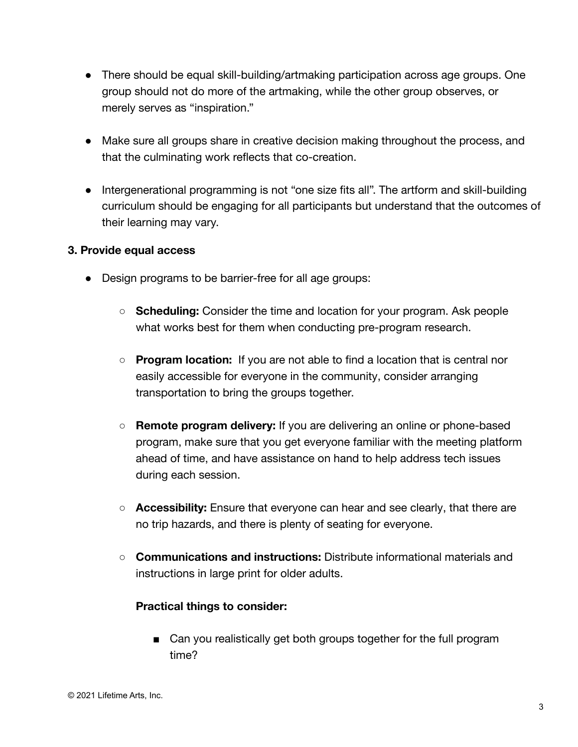- There should be equal skill-building/artmaking participation across age groups. One group should not do more of the artmaking, while the other group observes, or merely serves as "inspiration."
- Make sure all groups share in creative decision making throughout the process, and that the culminating work reflects that co-creation.
- Intergenerational programming is not "one size fits all". The artform and skill-building curriculum should be engaging for all participants but understand that the outcomes of their learning may vary.

#### **3. Provide equal access**

- Design programs to be barrier-free for all age groups:
	- **Scheduling:** Consider the time and location for your program. Ask people what works best for them when conducting pre-program research.
	- **Program location:** If you are not able to find a location that is central nor easily accessible for everyone in the community, consider arranging transportation to bring the groups together.
	- **Remote program delivery:** If you are delivering an online or phone-based program, make sure that you get everyone familiar with the meeting platform ahead of time, and have assistance on hand to help address tech issues during each session.
	- **Accessibility:** Ensure that everyone can hear and see clearly, that there are no trip hazards, and there is plenty of seating for everyone.
	- **Communications and instructions:** Distribute informational materials and instructions in large print for older adults.

#### **Practical things to consider:**

■ Can you realistically get both groups together for the full program time?